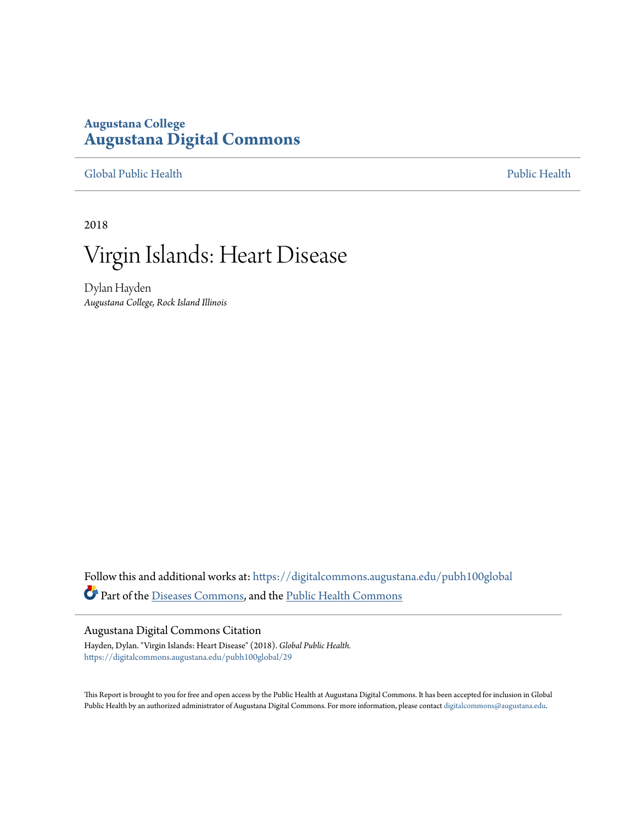### **Augustana College [Augustana Digital Commons](https://digitalcommons.augustana.edu?utm_source=digitalcommons.augustana.edu%2Fpubh100global%2F29&utm_medium=PDF&utm_campaign=PDFCoverPages)**

[Global Public Health](https://digitalcommons.augustana.edu/pubh100global?utm_source=digitalcommons.augustana.edu%2Fpubh100global%2F29&utm_medium=PDF&utm_campaign=PDFCoverPages) [Public Health](https://digitalcommons.augustana.edu/publichealth?utm_source=digitalcommons.augustana.edu%2Fpubh100global%2F29&utm_medium=PDF&utm_campaign=PDFCoverPages)

2018

# Virgin Islands: Heart Disease

Dylan Hayden *Augustana College, Rock Island Illinois*

Follow this and additional works at: [https://digitalcommons.augustana.edu/pubh100global](https://digitalcommons.augustana.edu/pubh100global?utm_source=digitalcommons.augustana.edu%2Fpubh100global%2F29&utm_medium=PDF&utm_campaign=PDFCoverPages) Part of the [Diseases Commons](http://network.bepress.com/hgg/discipline/813?utm_source=digitalcommons.augustana.edu%2Fpubh100global%2F29&utm_medium=PDF&utm_campaign=PDFCoverPages), and the [Public Health Commons](http://network.bepress.com/hgg/discipline/738?utm_source=digitalcommons.augustana.edu%2Fpubh100global%2F29&utm_medium=PDF&utm_campaign=PDFCoverPages)

#### Augustana Digital Commons Citation

Hayden, Dylan. "Virgin Islands: Heart Disease" (2018). *Global Public Health.* [https://digitalcommons.augustana.edu/pubh100global/29](https://digitalcommons.augustana.edu/pubh100global/29?utm_source=digitalcommons.augustana.edu%2Fpubh100global%2F29&utm_medium=PDF&utm_campaign=PDFCoverPages)

This Report is brought to you for free and open access by the Public Health at Augustana Digital Commons. It has been accepted for inclusion in Global Public Health by an authorized administrator of Augustana Digital Commons. For more information, please contact [digitalcommons@augustana.edu.](mailto:digitalcommons@augustana.edu)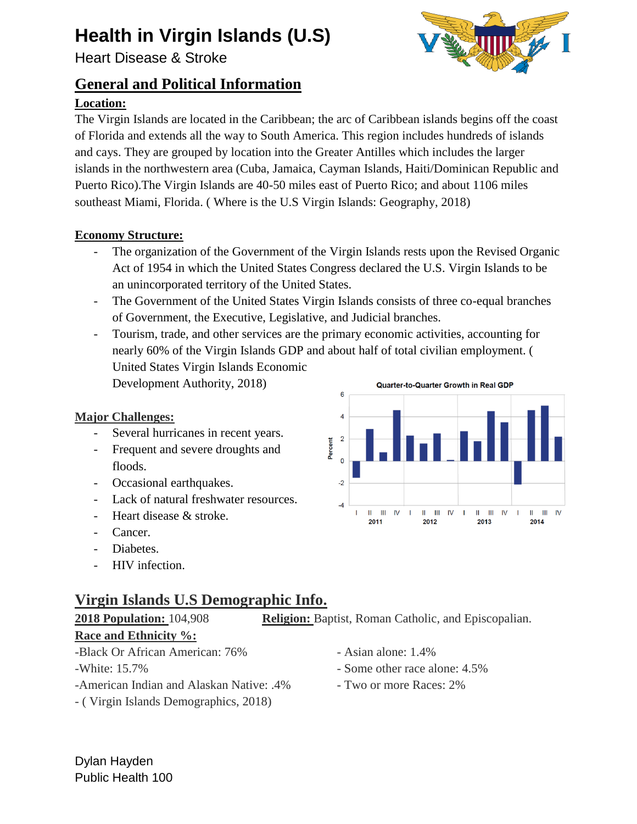## **Health in Virgin Islands (U.S)**

Heart Disease & Stroke

## **General and Political Information**

### **Location:**



The Virgin Islands are located in the Caribbean; the arc of Caribbean islands begins off the coast of Florida and extends all the way to South America. This region includes hundreds of islands and cays. They are grouped by location into the Greater Antilles which includes the larger islands in the northwestern area (Cuba, Jamaica, Cayman Islands, Haiti/Dominican Republic and Puerto Rico).The Virgin Islands are 40-50 miles east of Puerto Rico; and about 1106 miles southeast Miami, Florida. ( Where is the U.S Virgin Islands: Geography, 2018)

#### **Economy Structure:**

- The organization of the Government of the Virgin Islands rests upon the Revised Organic [Act of 1954](https://www.usvieda.org/sites/default/files/RevOrganicAct_1954.pdf) [i](https://www.usvieda.org/sites/default/files/RevOrganicAct_1954.pdf)n which the United States Congress declared the U.S. Virgin Islands to be an unincorporated territory of the United States.
- The Government of the United States Virgin Islands consists of three co-equal branches of Government, the Executive, Legislative, and Judicial branches.
- Tourism, trade, and other services are the primary economic activities, accounting for nearly 60% of the Virgin Islands GDP and about half of total civilian employment. ( United States Virgin Islands Economic Development Authority, 2018)

#### **Major Challenges:**

- Several hurricanes in recent years.
- Frequent and severe droughts and floods.
- Occasional earthquakes.
- Lack of natural freshwater resources.
- Heart disease & stroke.
- Cancer.
- Diabetes.
- HIV infection.

## **Virgin Islands U.S Demographic Info.**

**2018 Population:** 104,908 **Religion:** Baptist, Roman Catholic, and Episcopalian.

#### **Race and Ethnicity %:**

- -Black Or African American: 76% Asian alone: 1.4%
- 
- -American Indian and Alaskan Native: .4% Two or more Races: 2%
- ( Virgin Islands Demographics, 2018)



- 
- -White: 15.7% Some other race alone: 4.5%
	-